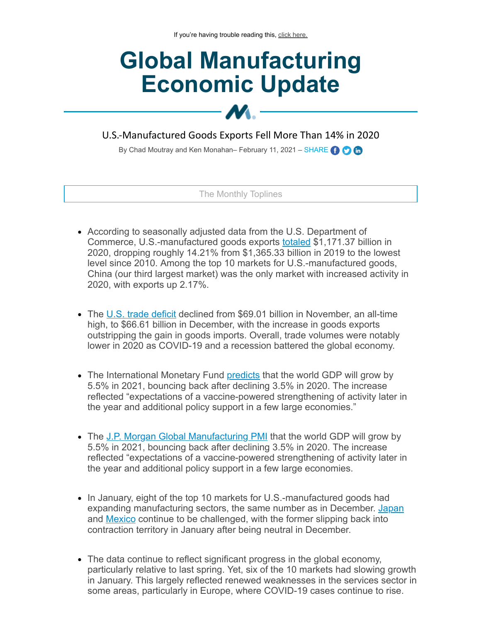## **Global Manufacturing Economic Update**

## U.S.-Manufactured Goods Exports Fell More Than 14% in 2020

 $\boldsymbol{\mathcal{M}}$ . -

By Chad Moutray and Ken Monahan– February 11, 2021 – SHARE **O Co** 

The Monthly Toplines

- According to seasonally adjusted data from the U.S. Department of Commerce, U.S.-manufactured goods exports [totaled](https://click.email.nam.org/?qs=ef04ac8aa486153cf38f5686c966b9fe9f09e38c0f1d5546276c9b4c251d834b10eae22341dca629810499a6272b869e97110d6112ecb3462b36888baf060321) \$1,171.37 billion in 2020, dropping roughly 14.21% from \$1,365.33 billion in 2019 to the lowest level since 2010. Among the top 10 markets for U.S.-manufactured goods, China (our third largest market) was the only market with increased activity in 2020, with exports up 2.17%.
- The [U.S. trade deficit](https://click.email.nam.org/?qs=ef04ac8aa486153cd976be5046557f8bc810d60231b93853f0ae6fd7e13c2a9fb065f6ef486791acd11482b51ff49c28a8d126e4dd130c26854f3d93dc19f8f7) declined from \$69.01 billion in November, an all-time high, to \$66.61 billion in December, with the increase in goods exports outstripping the gain in goods imports. Overall, trade volumes were notably lower in 2020 as COVID-19 and a recession battered the global economy.
- The International Monetary Fund [predicts](https://click.email.nam.org/?qs=ef04ac8aa486153cd976be5046557f8bc810d60231b93853f0ae6fd7e13c2a9fb065f6ef486791acd11482b51ff49c28a8d126e4dd130c26854f3d93dc19f8f7) that the world GDP will grow by 5.5% in 2021, bouncing back after declining 3.5% in 2020. The increase reflected "expectations of a vaccine-powered strengthening of activity later in the year and additional policy support in a few large economies."
- The [J.P. Morgan Global Manufacturing PMI](https://click.email.nam.org/?qs=ef04ac8aa486153c43a9138b4cddeb31feaeaea605d53e6bf0d7ebff9b06b179b3c4c2cd1b6383313b28a15d6294050d07d5580f4e2eff9b08f4aaa1dd7fba90) that the world GDP will grow by 5.5% in 2021, bouncing back after declining 3.5% in 2020. The increase reflected "expectations of a vaccine-powered strengthening of activity later in the year and additional policy support in a few large economies.
- In January, eight of the top 10 markets for U.S.-manufactured goods had expanding manufacturing sectors, the same number as in December. [Japan](https://click.email.nam.org/?qs=ef04ac8aa486153c41c4dfad6f39d7bbf872bca2a025dcc5c3e801793e4a4dea2e2548b16fb85e488dc47ba018f5a0d7fbeeee0a792bb39ddc468bc1afa10d16) and **Mexico** continue to be challenged, with the former slipping back into contraction territory in January after being neutral in December.
- The data continue to reflect significant progress in the global economy, particularly relative to last spring. Yet, six of the 10 markets had slowing growth in January. This largely reflected renewed weaknesses in the services sector in some areas, particularly in Europe, where COVID-19 cases continue to rise.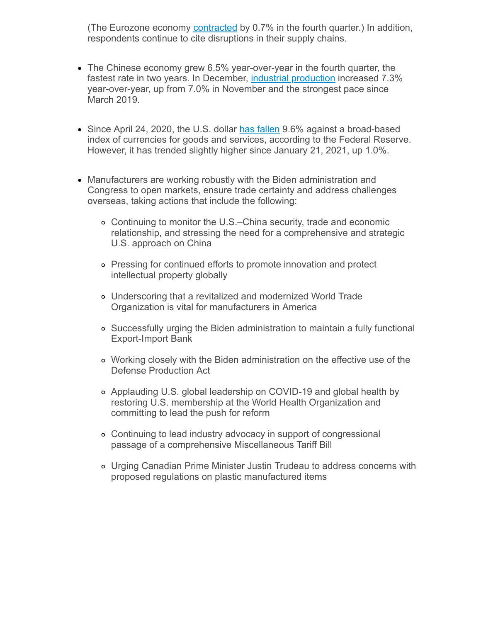(The Eurozone economy [contracted](https://click.email.nam.org/?qs=ef04ac8aa486153caa011a5f3ea4b9ee5fa68a3aab920c946db7265a13cd8b769173d6518f0a718ba784c29555ca77826e40cd5dc3bb3e292efad60e70accd10) by 0.7% in the fourth quarter.) In addition, respondents continue to cite disruptions in their supply chains.

- The Chinese economy grew 6.5% year-over-year in the fourth quarter, the fastest rate in two years. In December, [industrial production](https://click.email.nam.org/?qs=ef04ac8aa486153c4b5c7da2cd5fb71a6febc1c53c50558d9cd8a70d180309b4101fe0821a7ffbfc7811750b6076b399b4de0980aed054e525edff7f4db0c35a) increased 7.3% year-over-year, up from 7.0% in November and the strongest pace since March 2019.
- Since April 24, 2020, the U.S. dollar [has fallen](https://click.email.nam.org/?qs=ef04ac8aa486153cf0afda75a836a64e0630510a32857d3bc78cece50774584537cc1a0b5d6ac0491383e16057ac5d43ce2a57102eb1ed873300d1f0727cb4c8) 9.6% against a broad-based index of currencies for goods and services, according to the Federal Reserve. However, it has trended slightly higher since January 21, 2021, up 1.0%.
- Manufacturers are working robustly with the Biden administration and Congress to open markets, ensure trade certainty and address challenges overseas, taking actions that include the following:
	- Continuing to monitor the U.S.–China security, trade and economic relationship, and stressing the need for a comprehensive and strategic U.S. approach on China
	- Pressing for continued efforts to promote innovation and protect intellectual property globally
	- Underscoring that a revitalized and modernized World Trade Organization is vital for manufacturers in America
	- Successfully urging the Biden administration to maintain a fully functional Export-Import Bank
	- Working closely with the Biden administration on the effective use of the Defense Production Act
	- Applauding U.S. global leadership on COVID-19 and global health by restoring U.S. membership at the World Health Organization and committing to lead the push for reform
	- Continuing to lead industry advocacy in support of congressional passage of a comprehensive Miscellaneous Tariff Bill
	- Urging Canadian Prime Minister Justin Trudeau to address concerns with proposed regulations on plastic manufactured items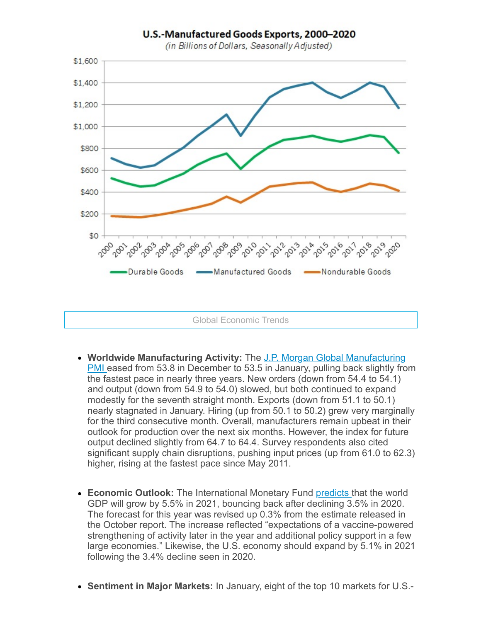

- **Worldwide Manufacturing Activity:** The J.P. Morgan Global Manufacturing [PMI eased from 53.8 in December to 53.5 in January, pulling back slightly fro](https://click.email.nam.org/?qs=ef04ac8aa486153c43a9138b4cddeb31feaeaea605d53e6bf0d7ebff9b06b179b3c4c2cd1b6383313b28a15d6294050d07d5580f4e2eff9b08f4aaa1dd7fba90)m the fastest pace in nearly three years. New orders (down from 54.4 to 54.1) and output (down from 54.9 to 54.0) slowed, but both continued to expand modestly for the seventh straight month. Exports (down from 51.1 to 50.1) nearly stagnated in January. Hiring (up from 50.1 to 50.2) grew very marginally for the third consecutive month. Overall, manufacturers remain upbeat in their outlook for production over the next six months. However, the index for future output declined slightly from 64.7 to 64.4. Survey respondents also cited significant supply chain disruptions, pushing input prices (up from 61.0 to 62.3) higher, rising at the fastest pace since May 2011.
- **Economic Outlook:** The International Monetary Fund [predicts t](https://click.email.nam.org/?qs=ef04ac8aa486153ca75440ed8fb21f793d4051f9262d7ddbd2a5c5979c6221776139f3e844e72f151d53a9a789fbac4ca191116d6e23a04343a61a058c0eb758)hat the world GDP will grow by 5.5% in 2021, bouncing back after declining 3.5% in 2020. The forecast for this year was revised up 0.3% from the estimate released in the October report. The increase reflected "expectations of a vaccine-powered strengthening of activity later in the year and additional policy support in a few large economies." Likewise, the U.S. economy should expand by 5.1% in 2021 following the 3.4% decline seen in 2020.
- **Sentiment in Major Markets:** In January, eight of the top 10 markets for U.S.-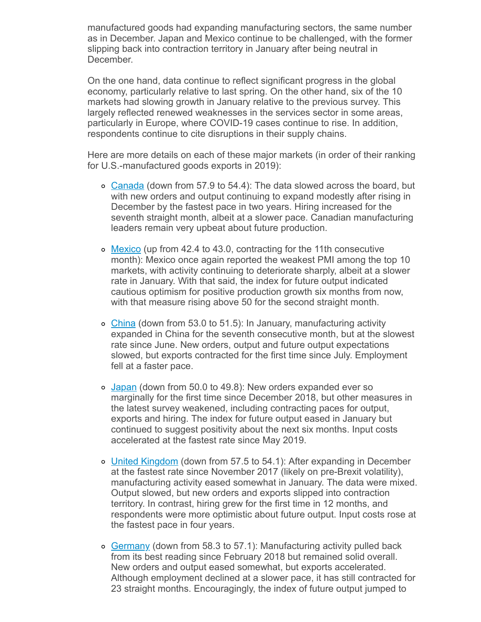manufactured goods had expanding manufacturing sectors, the same number as in December. Japan and Mexico continue to be challenged, with the former slipping back into contraction territory in January after being neutral in December.

On the one hand, data continue to reflect significant progress in the global economy, particularly relative to last spring. On the other hand, six of the 10 markets had slowing growth in January relative to the previous survey. This largely reflected renewed weaknesses in the services sector in some areas, particularly in Europe, where COVID-19 cases continue to rise. In addition, respondents continue to cite disruptions in their supply chains.

Here are more details on each of these major markets (in order of their ranking for U.S.-manufactured goods exports in 2019):

- o [Canada](https://click.email.nam.org/?qs=ef04ac8aa486153c626bfdd31a10808c7ecaf0f88e8ceeca046ce37617f4a931556d02cf8f096096c1d951f875b3b0b9d2970a109d669d3a845a49fb15b0c65e) (down from 57.9 to 54.4): The data slowed across the board, but with new orders and output continuing to expand modestly after rising in December by the fastest pace in two years. Hiring increased for the seventh straight month, albeit at a slower pace. Canadian manufacturing leaders remain very upbeat about future production.
- o [Mexico](https://click.email.nam.org/?qs=ef04ac8aa486153cdd6b02a5c912f498cc35c81a83f9ef5836555aba7555df549f7ef5912eb489ddb56dc0293869f45abf5ff642ba860db182aa7204180b43b4) (up from 42.4 to 43.0, contracting for the 11th consecutive month): Mexico once again reported the weakest PMI among the top 10 markets, with activity continuing to deteriorate sharply, albeit at a slower rate in January. With that said, the index for future output indicated cautious optimism for positive production growth six months from now, with that measure rising above 50 for the second straight month.
- o [China](https://click.email.nam.org/?qs=ef04ac8aa486153cb0a14284e5c4d989b329ff7450ae18cb892ba29b99a0498fb9adef398b6c431e067663a9a62c0dbac578bd337fe8f1d2c02b659f597c52dd) (down from 53.0 to 51.5): In January, manufacturing activity expanded in China for the seventh consecutive month, but at the slowest rate since June. New orders, output and future output expectations slowed, but exports contracted for the first time since July. Employment fell at a faster pace.
- o [Japan](https://click.email.nam.org/?qs=ef04ac8aa486153c64ff254397ec0eaf1db47392dca298fbc2d6abfa749724a0ae8ccd002f73f9fa189c3889d0a1fcd9544c19590a1f2882f69e451041494588) (down from 50.0 to 49.8): New orders expanded ever so marginally for the first time since December 2018, but other measures in the latest survey weakened, including contracting paces for output, exports and hiring. The index for future output eased in January but continued to suggest positivity about the next six months. Input costs accelerated at the fastest rate since May 2019.
- o [United Kingdom](https://click.email.nam.org/?qs=ef04ac8aa486153c1ac97d83fc9d52c70c445c7055236e97b290d2f05703f6157cfc738fe50c9de335d9ec4d30bb46a62970cb8a8a34ae7f7d46b4e37291fb58) (down from 57.5 to 54.1): After expanding in December at the fastest rate since November 2017 (likely on pre-Brexit volatility), manufacturing activity eased somewhat in January. The data were mixed. Output slowed, but new orders and exports slipped into contraction territory. In contrast, hiring grew for the first time in 12 months, and respondents were more optimistic about future output. Input costs rose at the fastest pace in four years.
- $\circ$  [Germany](https://click.email.nam.org/?qs=ef04ac8aa486153c360a16beda6d4225dad20aa3f460c54f885fe27353c1dfe9e14dcf6e156a72334ebca28837cb71489182c43db0882118a2c0223054098b37) (down from 58.3 to 57.1): Manufacturing activity pulled back from its best reading since February 2018 but remained solid overall. New orders and output eased somewhat, but exports accelerated. Although employment declined at a slower pace, it has still contracted for 23 straight months. Encouragingly, the index of future output jumped to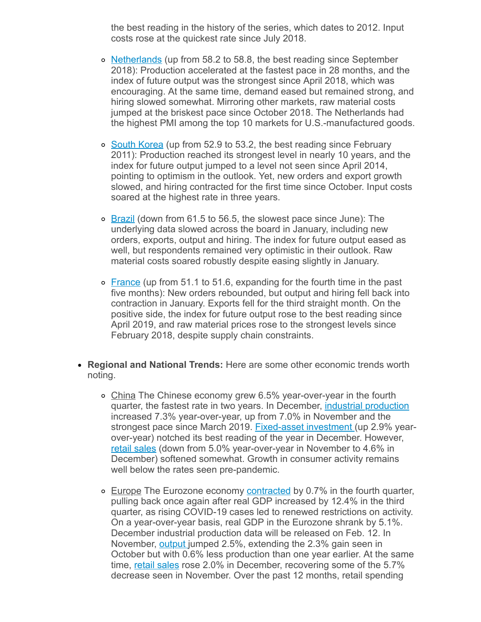the best reading in the history of the series, which dates to 2012. Input costs rose at the quickest rate since July 2018.

- $\circ$  [Netherlands](https://click.email.nam.org/?qs=ef04ac8aa486153c223a8b2b6eb6f03c4e3921351aa620ff446de6d0524a0d4c23ecc0dc9ed179e3518a6ea6a007b4ec22ce2ac0eb9830a8d8fdd68281682173) (up from 58.2 to 58.8, the best reading since September 2018): Production accelerated at the fastest pace in 28 months, and the index of future output was the strongest since April 2018, which was encouraging. At the same time, demand eased but remained strong, and hiring slowed somewhat. Mirroring other markets, raw material costs jumped at the briskest pace since October 2018. The Netherlands had the highest PMI among the top 10 markets for U.S.-manufactured goods.
- [South Korea](https://click.email.nam.org/?qs=ef04ac8aa486153c7bc29b1bea0338fcdbeb84b9eea4b23b1af09917a131c9213fcac0e8936a9ea141596601bed94b6f8f4cf31e5741148c38b16f4da1346819) (up from 52.9 to 53.2, the best reading since February 2011): Production reached its strongest level in nearly 10 years, and the index for future output jumped to a level not seen since April 2014, pointing to optimism in the outlook. Yet, new orders and export growth slowed, and hiring contracted for the first time since October. Input costs soared at the highest rate in three years.
- o [Brazil](https://click.email.nam.org/?qs=ef04ac8aa486153cfe4057d0dca45fefb6b049356c6d07f1f504c6b4ee2790f5e90688f4ef62901689fd5817422c6299a5435c0933faa6c346a813d23e8fc125) (down from 61.5 to 56.5, the slowest pace since June): The underlying data slowed across the board in January, including new orders, exports, output and hiring. The index for future output eased as well, but respondents remained very optimistic in their outlook. Raw material costs soared robustly despite easing slightly in January.
- $\circ$  [France](https://click.email.nam.org/?qs=ef04ac8aa486153c633bff4b623fdb33d11f4a854768394caa09126b8d999ff48c2065958a61e96e5f045b466586c7e5d0826a1e771ffbcfdf6273a9292bed1a) (up from 51.1 to 51.6, expanding for the fourth time in the past five months): New orders rebounded, but output and hiring fell back into contraction in January. Exports fell for the third straight month. On the positive side, the index for future output rose to the best reading since April 2019, and raw material prices rose to the strongest levels since February 2018, despite supply chain constraints.
- **Regional and National Trends:** Here are some other economic trends worth noting.
	- o China The Chinese economy grew 6.5% year-over-year in the fourth quarter, the fastest rate in two years. In December, [industrial production](https://click.email.nam.org/?qs=ef04ac8aa486153c3ab9864d4392c48a3af4d19f537caddc34d13ca53080451699e04a764df28cf90dfb2104548f03430f765f77a2ffb8d7a57505744a3b61a0) increased 7.3% year-over-year, up from 7.0% in November and the strongest pace since March 2019. [Fixed-asset investment \(](https://click.email.nam.org/?qs=ef04ac8aa486153c8ec66276e2e4639550fa005957f0a7fdca28f5765d767a25a73065a224803e9f60de846b242ac6407832d9061bb2a22a9a2ba10a50e8aa1a)up 2.9% yearover-year) notched its best reading of the year in December. However, [retail sales](https://click.email.nam.org/?qs=ef04ac8aa486153c7fcc449119c47dd24e2dbcbb020f1f8e4ca9718ae3a5e8c78619253da6f99ed3d7d38f51f9ddc0f8a764142da1a20074b82f0c71cf89cc3d) (down from 5.0% year-over-year in November to 4.6% in December) softened somewhat. Growth in consumer activity remains well below the rates seen pre-pandemic.
	- Europe The Eurozone economy [contracted](https://click.email.nam.org/?qs=ef04ac8aa486153caa011a5f3ea4b9ee5fa68a3aab920c946db7265a13cd8b769173d6518f0a718ba784c29555ca77826e40cd5dc3bb3e292efad60e70accd10) by 0.7% in the fourth quarter, pulling back once again after real GDP increased by 12.4% in the third quarter, as rising COVID-19 cases led to renewed restrictions on activity. On a year-over-year basis, real GDP in the Eurozone shrank by 5.1%. December industrial production data will be released on Feb. 12. In November, [output j](https://click.email.nam.org/?qs=ef04ac8aa486153cd84a99185724c07dff0502021ef956e3a04946f78cc72b37fa52b2c2f6dee2006fcc167e13c5e7e50a60db29fa11d57bb684a5375b9efd84)umped 2.5%, extending the 2.3% gain seen in October but with 0.6% less production than one year earlier. At the same time, [retail sales](https://click.email.nam.org/?qs=ef04ac8aa486153c84c568059acfb0dbd0b13c2d64288cc00674bcb4ae0ac91fb6695fed4a2132bbc39de1df2dbc748fb55abf2bfbb22d1291f2c9506e2faf1f) rose 2.0% in December, recovering some of the 5.7% decrease seen in November. Over the past 12 months, retail spending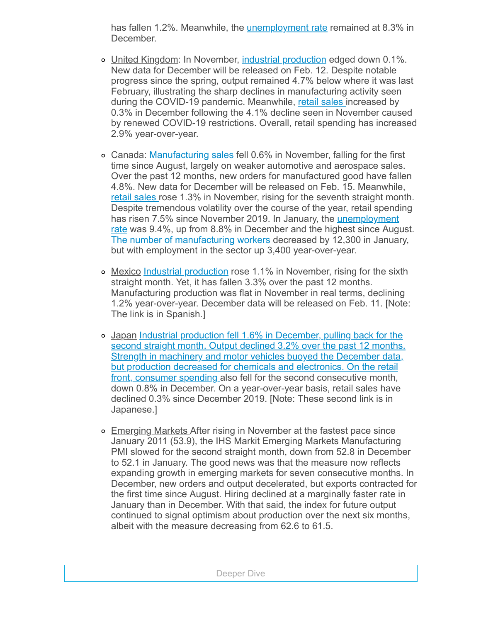has fallen 1.2%. Meanwhile, the *unemployment rate* remained at 8.3% in December.

- o United Kingdom: In November, [industrial production](https://click.email.nam.org/?qs=ef04ac8aa486153cb06298a378bcf921a480be841d2c7c7d80acef60987c615a4968ad7997228bdcc7e7c247ad2ea933b005c816e9e6afcd7c4aa66af0504835) edged down 0.1%. New data for December will be released on Feb. 12. Despite notable progress since the spring, output remained 4.7% below where it was last February, illustrating the sharp declines in manufacturing activity seen during the COVID-19 pandemic. Meanwhile, [retail sales](https://click.email.nam.org/?qs=ef04ac8aa486153cbe8855b423e6cf3d8d40ba70b75757dfc5da1fcbc3a82b72d938c55c911893992eeda1bde9277371b91114eafc2cac1d8bd4b5aa45e2af27) increased by 0.3% in December following the 4.1% decline seen in November caused by renewed COVID-19 restrictions. Overall, retail spending has increased 2.9% year-over-year.
- o Canada: [Manufacturing sales](https://click.email.nam.org/?qs=4ed56df1dad4422d233867d4a6b0aab8fe43a164d676aed7d095ae72ca36728a46aa4d4487f8a09446ef3437035b473f74c1c0bb12d38326ca74b4c549e99434) fell 0.6% in November, falling for the first time since August, largely on weaker automotive and aerospace sales. Over the past 12 months, new orders for manufactured good have fallen 4.8%. New data for December will be released on Feb. 15. Meanwhile, [retail sales](https://click.email.nam.org/?qs=4ed56df1dad4422d6793b54911b1a69ddd7b494a4c14ceb52f32e6f3ee15dd56e5015e5cf867c8367fc9dabf58e73ab1c61ff1a6713d388b6dae38012ea973f4) rose 1.3% in November, rising for the seventh straight month. Despite tremendous volatility over the course of the year, retail spending has risen 7.5% since November 2019. In January, the *unemployment* rate was 9.4%, up from 8.8% in December and the highest since August. [The number of manufacturing workers](https://click.email.nam.org/?qs=4ed56df1dad4422de5a5bbe01e48d6b24463a43d96750f6eab7edcfbb8273e97e70239165a6231dbc97773c0ff309e69136359611f71d718a0830ddc61b2d066) decreased by 12,300 in January, but with employment in the sector up 3,400 year-over-year.
- o Mexico [Industrial production](https://click.email.nam.org/?qs=4ed56df1dad4422d9e0e465699ba594049018c04d30a568cb0dac4a6439664510ca885ec85d0ee6d9a9693c892ac2837b9175421e1ad9f4ba76c94bae79c0244) rose 1.1% in November, rising for the sixth straight month. Yet, it has fallen 3.3% over the past 12 months. Manufacturing production was flat in November in real terms, declining 1.2% year-over-year. December data will be released on Feb. 11. [Note: The link is in Spanish.]
- o Japan Industrial production fell 1.6% in December, pulling back for the [second straight month. Output declined 3.2% over the past 12 months.](https://click.email.nam.org/?qs=4ed56df1dad4422d9a503a5fa789a72ce05d03e2356d5018504ba7355c09804519df9eac8e7ac28d2b8316e8c530a28e73b83a8aab5840c21fa98fd0fb040979) Strength in machinery and motor vehicles buoyed the December data, but production decreased for chemicals and electronics. On the retail front, [consumer spending](https://click.email.nam.org/?qs=4ed56df1dad4422d7663fac6bf0a010a9dbba7c61e8b1cfd9307b7b9e3c517cdfb874db4e7c238fbd5f31a8cc5c7145e62326e73c8adda7bbcb317597ee135fd) also fell for the second consecutive month, down 0.8% in December. On a year-over-year basis, retail sales have declined 0.3% since December 2019. [Note: These second link is in Japanese.]
- o Emerging Markets After rising in November at the fastest pace since January 2011 (53.9), the IHS Markit Emerging Markets Manufacturing PMI slowed for the second straight month, down from 52.8 in December to 52.1 in January. The good news was that the measure now reflects expanding growth in emerging markets for seven consecutive months. In December, new orders and output decelerated, but exports contracted for the first time since August. Hiring declined at a marginally faster rate in January than in December. With that said, the index for future output continued to signal optimism about production over the next six months, albeit with the measure decreasing from 62.6 to 61.5.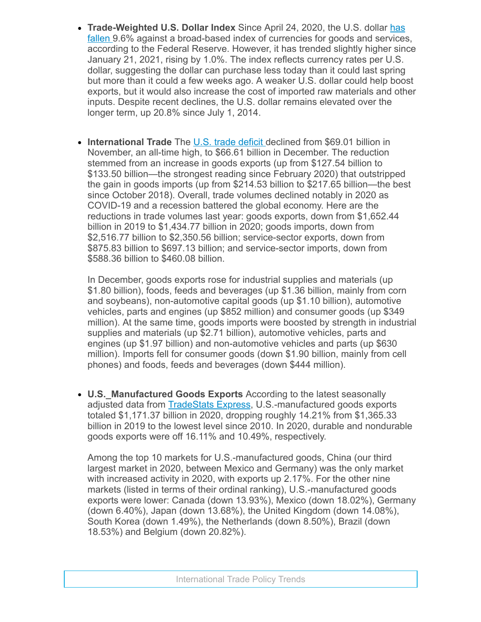- **Trade-Weighted U.S. Dollar Index** Since April 24, 2020, the U.S. dollar has [fallen 9.6% against a broad-based index of currencies for goods and services](https://click.email.nam.org/?qs=4ed56df1dad4422d5a4051c0d6ef601ec43e6b65d6f413e414e377aabe7e4bb9e4eda0448b0ad7af4e8c1e20d127a57873a328a12da263405f791fecfb5e6295), according to the Federal Reserve. However, it has trended slightly higher since January 21, 2021, rising by 1.0%. The index reflects currency rates per U.S. dollar, suggesting the dollar can purchase less today than it could last spring but more than it could a few weeks ago. A weaker U.S. dollar could help boost exports, but it would also increase the cost of imported raw materials and other inputs. Despite recent declines, the U.S. dollar remains elevated over the longer term, up 20.8% since July 1, 2014.
- **International Trade** The [U.S. trade deficit](https://click.email.nam.org/?qs=4ed56df1dad4422dfd5762ae6f1dbfda122eda65c1ed28065e462a5c7e6aef737caf53d37b36d8c587f2f6dd1906e759b87db6c20e0d1cc454d16b45e03aba5d) declined from \$69.01 billion in November, an all-time high, to \$66.61 billion in December. The reduction stemmed from an increase in goods exports (up from \$127.54 billion to \$133.50 billion—the strongest reading since February 2020) that outstripped the gain in goods imports (up from \$214.53 billion to \$217.65 billion—the best since October 2018). Overall, trade volumes declined notably in 2020 as COVID-19 and a recession battered the global economy. Here are the reductions in trade volumes last year: goods exports, down from \$1,652.44 billion in 2019 to \$1,434.77 billion in 2020; goods imports, down from \$2,516.77 billion to \$2,350.56 billion; service-sector exports, down from \$875.83 billion to \$697.13 billion; and service-sector imports, down from \$588.36 billion to \$460.08 billion.

In December, goods exports rose for industrial supplies and materials (up \$1.80 billion), foods, feeds and beverages (up \$1.36 billion, mainly from corn and soybeans), non-automotive capital goods (up \$1.10 billion), automotive vehicles, parts and engines (up \$852 million) and consumer goods (up \$349 million). At the same time, goods imports were boosted by strength in industrial supplies and materials (up \$2.71 billion), automotive vehicles, parts and engines (up \$1.97 billion) and non-automotive vehicles and parts (up \$630 million). Imports fell for consumer goods (down \$1.90 billion, mainly from cell phones) and foods, feeds and beverages (down \$444 million).

**U.S.\_Manufactured Goods Exports** According to the latest seasonally adjusted data from [TradeStats Express](https://click.email.nam.org/?qs=4ed56df1dad4422df40a14c522f063858582ed02986640ae25fd8c877a2c6ee5ffb00f1ca402760b819875aaacb1ccad92dfd1f860fdab3ba86f953c6ad043d0), U.S.-manufactured goods exports totaled \$1,171.37 billion in 2020, dropping roughly 14.21% from \$1,365.33 billion in 2019 to the lowest level since 2010. In 2020, durable and nondurable goods exports were off 16.11% and 10.49%, respectively.

Among the top 10 markets for U.S.-manufactured goods, China (our third largest market in 2020, between Mexico and Germany) was the only market with increased activity in 2020, with exports up 2.17%. For the other nine markets (listed in terms of their ordinal ranking), U.S.-manufactured goods exports were lower: Canada (down 13.93%), Mexico (down 18.02%), Germany (down 6.40%), Japan (down 13.68%), the United Kingdom (down 14.08%), South Korea (down 1.49%), the Netherlands (down 8.50%), Brazil (down 18.53%) and Belgium (down 20.82%).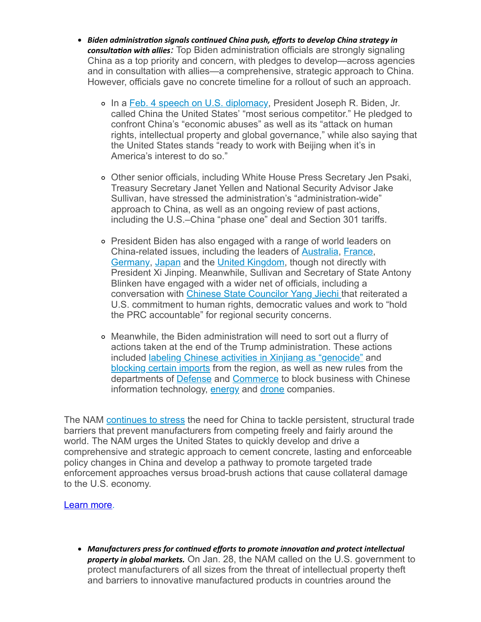- **•** Biden administration signals continued China push, efforts to develop China strategy in *consultation with allies*: Top Biden administration officials are strongly signaling China as a top priority and concern, with pledges to develop—across agencies and in consultation with allies—a comprehensive, strategic approach to China. However, officials gave no concrete timeline for a rollout of such an approach.
	- o In a [Feb. 4 speech on U.S. diplomacy,](https://click.email.nam.org/?qs=4ed56df1dad4422da8e6dd072bfdf99a46a314c35c6576d8d78bdbd5542f92fbd9b726f9029c84e3ce0b5ef82c7e6d650c5fad5293dce3919d1bea60690b3be7) President Joseph R. Biden, Jr. called China the United States' "most serious competitor." He pledged to confront China's "economic abuses" as well as its "attack on human rights, intellectual property and global governance," while also saying that the United States stands "ready to work with Beijing when it's in America's interest to do so."
	- Other senior officials, including White House Press Secretary Jen Psaki, Treasury Secretary Janet Yellen and National Security Advisor Jake Sullivan, have stressed the administration's "administration-wide" approach to China, as well as an ongoing review of past actions, including the U.S.–China "phase one" deal and Section 301 tariffs.
	- President Biden has also engaged with a range of world leaders on China-related issues, including the leaders of [Australia,](https://click.email.nam.org/?qs=4ed56df1dad4422dd995c7c08e62fa3287a66ba28480c5d3e92f89845258b1e5ae7e6ee9fc6c418173c4b56add17710d9191cd6596355cfe481b15a49b2c199e) [France](https://click.email.nam.org/?qs=4ed56df1dad4422da4922662fe4d6a1527f918ac3e189e416c7b73f894bfd26353b0955f78dfa6ca97ccc6d5e28e93b8a28a2be939b1696fa86fbb9f19001c55), [Germany,](https://click.email.nam.org/?qs=4ed56df1dad4422d9d044a433dca1c7d1427ecaa6f600af2d071ccd0175aaada4ddad460803dd2b8ccca3cff583d41c67673cff7a7150a75c6144ca914c6c100) [Japan](https://click.email.nam.org/?qs=4ed56df1dad4422d056c018dac6f8647399599c9c33cd14f1bc269da248a7d9eafa4813232668ec9845197a39cf52548ea7b2bf3777daf9e93f46d73007ac1e9) and the [United Kingdom](https://click.email.nam.org/?qs=4ed56df1dad4422df7df8cbc05e6f671eeae222bc0997234e43c74b516ee741f9a0c430fd581e2af2b8fa2d592e3d2593910d78a71e07be2cafbc21e8090f5b9), though not directly with President Xi Jinping. Meanwhile, Sullivan and Secretary of State Antony Blinken have engaged with a wider net of officials, including a conversation with [Chinese State Councilor Yang Jiechi t](https://click.email.nam.org/?qs=4ed56df1dad4422deca23b09790cf6de284830feb589dd3de06bec9dcee662154b32dd2a1a7e259e5f678b8b2b1fb380c43952ebe3f8ac1b2fb833945a7d5053)hat reiterated a U.S. commitment to human rights, democratic values and work to "hold the PRC accountable" for regional security concerns.
	- Meanwhile, the Biden administration will need to sort out a flurry of actions taken at the end of the Trump administration. These actions included [labeling Chinese activities in Xinjiang as "genocide"](https://click.email.nam.org/?qs=4ed56df1dad4422dd9792021ab13582402ce26e5fa38eeb527f7dab7e04d93103f6a0f4c6e973dcd2f05d6a5d731f884bc423c0de65bbca18e79ac873d59b8a6) and [blocking certain imports](https://click.email.nam.org/?qs=4ed56df1dad4422d6f6258dc2ddc5b4b157d8d40f8ca0e503567233cd2925c7bf303fa002f9d23eacf9d5af9df8de6de8e5b137f4b2a211b83128945a6b41b84) from the region, as well as new rules from the departments of [Defense](https://click.email.nam.org/?qs=4ed56df1dad4422d796af52b9835eecaa32ff870e7ffcfbf6a12e6046a87d8ec2b351c307ad9779eb413a81d431aab34a1a773f35622f687efdbe37a0f52bf8b) and [Commerce](https://click.email.nam.org/?qs=4ed56df1dad4422d904e4a4458aee3cbca9e2c03ca419c030fe9f86c2f3be1bf36173e162065a94ae8c74ca1f08b886b6b2dff8d33c94bd4c1e1cf96d48c06cb) to block business with Chinese information technology, [energy](https://click.email.nam.org/?qs=4ed56df1dad4422dd62c15262f2fe4d823c6531ec725c815cb962a4f78505ebaf1d5fba9035f9c9dc929dd7b23a4f168a7da15429258488118e9275bf6a42880) and [drone](https://click.email.nam.org/?qs=4ed56df1dad4422dc390ef5086707ecb1e29af6f281f71c696929a9b458a6313d95ca10de0026951e8c8f461cf788f5a304eb9a9acd324a663f1b62244dc0587) companies.

The NAM [continues to stress](https://click.email.nam.org/?qs=4ed56df1dad4422d57eeba1dfa47beaa64a7ba456796c8da2585638510d443e6287ec7d5e9c36846c41a2e8ce871b3228828b1e84e56e559a6375f97fc22df00) the need for China to tackle persistent, structural trade barriers that prevent manufacturers from competing freely and fairly around the world. The NAM urges the United States to quickly develop and drive a comprehensive and strategic approach to cement concrete, lasting and enforceable policy changes in China and develop a pathway to promote targeted trade enforcement approaches versus broad-brush actions that cause collateral damage to the U.S. economy.

## [Learn more.](mailto:rong@nam.org?subject=NAM/China%20Updates)

**•** Manufacturers press for continued efforts to promote innovation and protect intellectual *property in global markets.* On Jan. 28, the NAM called on the U.S. government to protect manufacturers of all sizes from the threat of intellectual property theft and barriers to innovative manufactured products in countries around the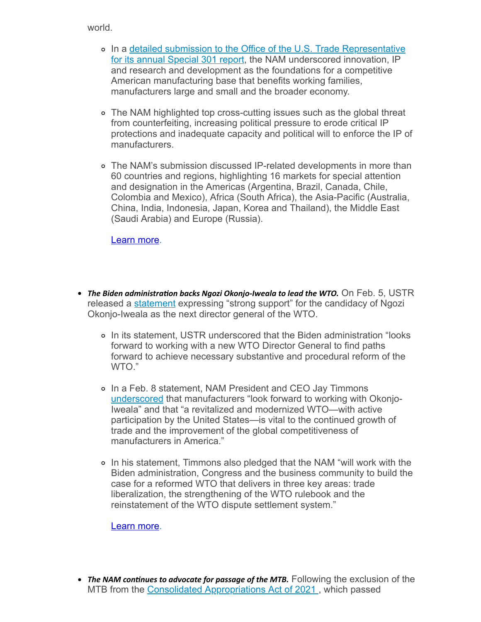world.

- o [In a detailed submission to the Office of the U.S. Trade Representative](https://click.email.nam.org/?qs=4ed56df1dad4422dde4e38e102d4c09a2ace32fade10d93f7632e354d81509f52f5ed4bb0173a0f57f5c282aa01d6a6b54ec07eb2d369484ccb26e96e713328c) for its annual Special 301 report, the NAM underscored innovation, IP and research and development as the foundations for a competitive American manufacturing base that benefits working families, manufacturers large and small and the broader economy.
- The NAM highlighted top cross-cutting issues such as the global threat from counterfeiting, increasing political pressure to erode critical IP protections and inadequate capacity and political will to enforce the IP of manufacturers.
- The NAM's submission discussed IP-related developments in more than 60 countries and regions, highlighting 16 markets for special attention and designation in the Americas (Argentina, Brazil, Canada, Chile, Colombia and Mexico), Africa (South Africa), the Asia-Pacific (Australia, China, India, Indonesia, Japan, Korea and Thailand), the Middle East (Saudi Arabia) and Europe (Russia).

[Learn more.](mailto:rong@nam.org?subject=innovation%20and%20ipr)

- The Biden administration backs Ngozi Okonjo-Iweala to lead the WTO. On Feb. 5, USTR released a [statement](https://click.email.nam.org/?qs=4ed56df1dad4422d5567756ae3dead6f9e2e6908b25fa4d4d6764b39acdc8aad16c8572622f908fa0e88ff4fa430506c999ff2eef798deb5662e85aabb17f906) expressing "strong support" for the candidacy of Ngozi Okonjo-Iweala as the next director general of the WTO.
	- In its statement, USTR underscored that the Biden administration "looks forward to working with a new WTO Director General to find paths forward to achieve necessary substantive and procedural reform of the WTO."
	- o In a Feb. 8 statement, NAM President and CEO Jay Timmons [underscored](https://click.email.nam.org/?qs=4ed56df1dad4422d72f3947b520994fe3f07c9c057a599dd18fe85fa7ffdec7011af623cb9e4097013ca7d69b5efad2108c43de22146e044a2bd2acbd0b39181) that manufacturers "look forward to working with Okonjo-Iweala" and that "a revitalized and modernized WTO—with active participation by the United States—is vital to the continued growth of trade and the improvement of the global competitiveness of manufacturers in America."
	- o In his statement, Timmons also pledged that the NAM "will work with the Biden administration, Congress and the business community to build the case for a reformed WTO that delivers in three key areas: trade liberalization, the strengthening of the WTO rulebook and the reinstatement of the WTO dispute settlement system."

[Learn more.](mailto:kmonahan@nam.org?subject=wtc)

• The NAM continues to advocate for passage of the MTB. Following the exclusion of the MTB from the Consolidated Appropriations Act of 2021, which passed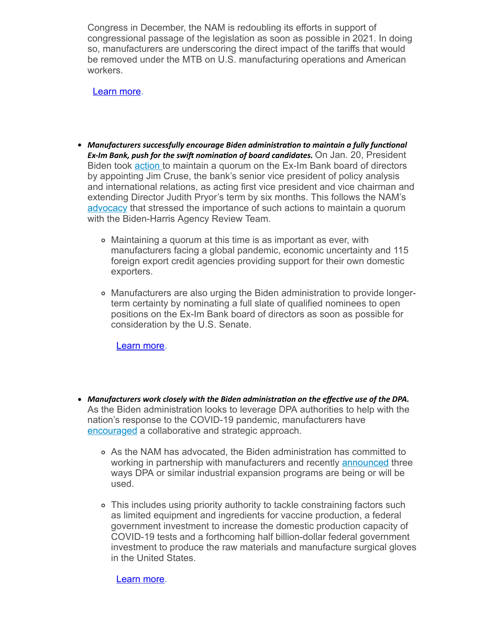Congress in December, the NAM is redoubling its efforts in support of congressional passage of the legislation as soon as possible in 2021. In doing so, manufacturers are underscoring the direct impact of the tariffs that would be removed under the MTB on U.S. manufacturing operations and American workers.

[Learn more.](mailto:kmonahan@nam.org?subject=miscellaneous%20tariff%20bill)

- **•** Manufacturers successfully encourage Biden administration to maintain a fully functional *Ex-Im Bank, push for the swift nomination of board candidates.* **On Jan. 20, President** Biden took [action t](https://click.email.nam.org/?qs=4ed56df1dad4422da38a36be932f8996b5d1499bf61078972f30b189765d3516ade52279f0d2ca399071430a28cfdbca1604f0657ea5a5310b02e03cdd8ccb63)o maintain a quorum on the Ex-Im Bank board of directors by appointing Jim Cruse, the bank's senior vice president of policy analysis and international relations, as acting first vice president and vice chairman and extending Director Judith Pryor's term by six months. This follows the NAM's [advocacy](https://click.email.nam.org/?qs=4ed56df1dad4422dd058b31bef9ec1b9c3cd247ed338120a4449c72a9f5019fdb9f7e65a37b030add4059f4fc11352f96a9777f089e8cec4b35b5df79d278c4d) that stressed the importance of such actions to maintain a quorum with the Biden-Harris Agency Review Team.
	- Maintaining a quorum at this time is as important as ever, with manufacturers facing a global pandemic, economic uncertainty and 115 foreign export credit agencies providing support for their own domestic exporters.
	- Manufacturers are also urging the Biden administration to provide longerterm certainty by nominating a full slate of qualified nominees to open positions on the Ex-Im Bank board of directors as soon as possible for consideration by the U.S. Senate.

[Learn more.](mailto:kmonahan@nam.org?subject=miscellaneous%20tariff%20bill)

- **•** Manufacturers work closely with the Biden administration on the effective use of the DPA. As the Biden administration looks to leverage DPA authorities to help with the nation's response to the COVID-19 pandemic, manufacturers have [encouraged](https://click.email.nam.org/?qs=4ed56df1dad4422d00ecdf69ac21f95920f0c52843856b78bc496074ed1da50999195124e3965bbc10391b263a790acf0bff5071ee50f71bd9ff940ef0821e99) a collaborative and strategic approach.
	- As the NAM has advocated, the Biden administration has committed to working in partnership with manufacturers and recently [announced](https://click.email.nam.org/?qs=4ed56df1dad4422dde60e8ead0b16cbbc6e4b641363e569d0b4f2d7071406efe796c25b2198f4d7cdbfe9222d06fb47cbd26dd6ffddc792e0c3484d057776994) three ways DPA or similar industrial expansion programs are being or will be used.
	- This includes using priority authority to tackle constraining factors such as limited equipment and ingredients for vaccine production, a federal government investment to increase the domestic production capacity of COVID-19 tests and a forthcoming half billion-dollar federal government investment to produce the raw materials and manufacture surgical gloves in the United States.

[Learn more.](mailto:aaafedt@nam.org?subject=defense%20production%20act)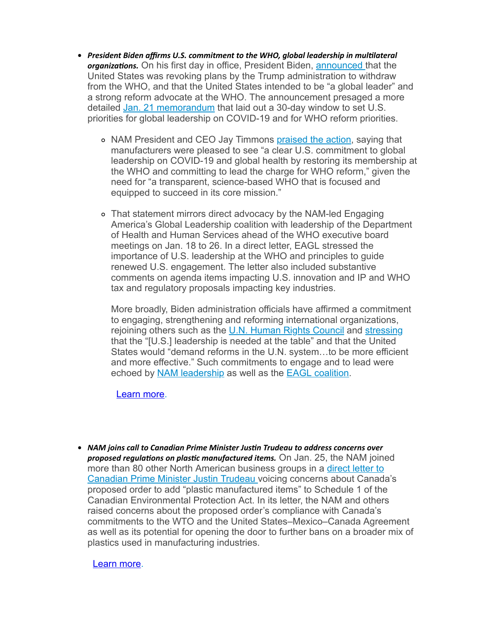- *President Biden affirms U.S. commitment to the WHO, global leadership in mullateral organizations.* On his first day in office, President Biden, [announced t](https://click.email.nam.org/?qs=4ed56df1dad4422d6309af41e2e78521ce17fc84d8ae97bf85e6c29e82df08006b20385a23e338efa2d65fa04fc7f220b0d7d9c57a826f91bfbef6890c4ede10)hat the United States was revoking plans by the Trump administration to withdraw from the WHO, and that the United States intended to be "a global leader" and a strong reform advocate at the WHO. The announcement presaged a more detailed [Jan. 21 memorandum](https://click.email.nam.org/?qs=4ed56df1dad4422da3e7d5472ce61ab07b18f4dff84c09dd3a3a6db153d32c708bfe2a2a030d6926e1e674972cdb25398915b615fe51b1a3ce7d48fff2de476b) that laid out a 30-day window to set U.S. priorities for global leadership on COVID-19 and for WHO reform priorities.
	- o NAM President and CEO Jay Timmons [praised the action,](https://click.email.nam.org/?qs=4ed56df1dad4422d8e63dda09f2b39f8d25d4f9d17dca61d959ac7533135aa15781c10519eb3f5ca49f1d0c3402430e4686ed541da2632e84092398436840b79) saying that manufacturers were pleased to see "a clear U.S. commitment to global leadership on COVID-19 and global health by restoring its membership at the WHO and committing to lead the charge for WHO reform," given the need for "a transparent, science-based WHO that is focused and equipped to succeed in its core mission."
	- That statement mirrors direct advocacy by the NAM-led Engaging America's Global Leadership coalition with leadership of the Department of Health and Human Services ahead of the WHO executive board meetings on Jan. 18 to 26. In a direct letter, EAGL stressed the importance of U.S. leadership at the WHO and principles to guide renewed U.S. engagement. The letter also included substantive comments on agenda items impacting U.S. innovation and IP and WHO tax and regulatory proposals impacting key industries.

More broadly, Biden administration officials have affirmed a commitment to engaging, strengthening and reforming international organizations, rejoining others such as the [U.N. Human Rights Council](https://click.email.nam.org/?qs=4ed56df1dad4422dbd135e8c5318dc5b27491d8493c9a6e0c6c693352143bd2a2bb6b4207664154015d6720a158e92d6bc83ea461ed3ab40310caf90e3966848) and [stressing](https://click.email.nam.org/?qs=4ed56df1dad4422dd2e708302bb0f2343f606325c300a1098afe9684d6092890442bf25a1c28f956378b7cc13307e99d61d9264f97fcfabf1e4f7f766b6caf4c) that the "[U.S.] leadership is needed at the table" and that the United States would "demand reforms in the U.N. system…to be more efficient and more effective." Such commitments to engage and to lead were echoed by [NAM leadership](https://click.email.nam.org/?qs=4ed56df1dad4422d600b722bca1f7a275e762929006de02557c72db5dbdcf9133b5e2f924897ca29587c0b155be9670507048fb6b9cb2fce7e20255691c46377) as well as the [EAGL coalition.](https://click.email.nam.org/?qs=4ed56df1dad4422d00501f8b8f41f966a832694540a2cf9edb69e97f0c89b7a37161114895e3e3d148bb7bb7cace6f98e8401fd749bbc2296e84c795c6247a87)

[Learn more.](mailto:rong@nam.org?subject=mlos%20and%20who)

*NAM joins call to Canadian Prime Minister Jusn Trudeau to address concerns over proposed regulations on plastic manufactured items.* **On Jan. 25, the NAM joined** [more than 80 other North American business groups in a direct letter to](https://click.email.nam.org/?qs=4ed56df1dad4422d6a5825d2913bf6242779106a2efd64a39de1a60a66d93211006ada851d89ea02a3d5b96d90b0fa3e1ad2164b975c1926a6ba3f22c31253a1) Canadian Prime Minister Justin Trudeau voicing concerns about Canada's proposed order to add "plastic manufactured items" to Schedule 1 of the Canadian Environmental Protection Act. In its letter, the NAM and others raised concerns about the proposed order's compliance with Canada's commitments to the WTO and the United States–Mexico–Canada Agreement as well as its potential for opening the door to further bans on a broader mix of plastics used in manufacturing industries.

[Learn more.](mailto:rong@nam.org;lberkeyames@nam.org?subject=canada%20plastics)